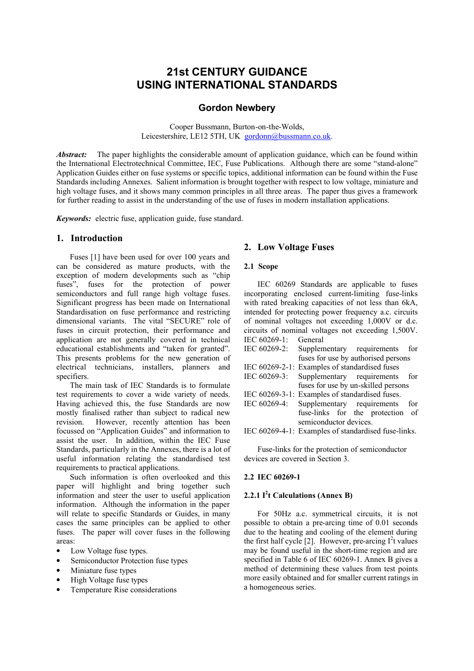# **21st CENTURY GUIDANCE USING INTERNATIONAL STANDARDS**

# **Gordon Newbery**

Cooper Bussmann, Burton-on-the-Wolds, Leicestershire, LE12 5TH, UK gordonn@bussmann.co.uk.

*Abstract:* The paper highlights the considerable amount of application guidance, which can be found within the International Electrotechnical Committee, IEC, Fuse Publications. Although there are some "stand-alone" Application Guides either on fuse systems or specific topics, additional information can be found within the Fuse Standards including Annexes. Salient information is brought together with respect to low voltage, miniature and high voltage fuses, and it shows many common principles in all three areas. The paper thus gives a framework for further reading to assist in the understanding of the use of fuses in modern installation applications.

*Keywords:* electric fuse, application guide, fuse standard.

### **1. Introduction**

Fuses [1] have been used for over 100 years and can be considered as mature products, with the exception of modern developments such as "chip fuses", fuses for the protection of power semiconductors and full range high voltage fuses. Significant progress has been made on International Standardisation on fuse performance and restricting dimensional variants. The vital "SECURE" role of fuses in circuit protection, their performance and application are not generally covered in technical educational establishments and "taken for granted". This presents problems for the new generation of electrical technicians, installers, planners and specifiers.

The main task of IEC Standards is to formulate test requirements to cover a wide variety of needs. Having achieved this, the fuse Standards are now mostly finalised rather than subject to radical new revision. However, recently attention has been focussed on "Application Guides" and information to assist the user. In addition, within the IEC Fuse Standards, particularly in the Annexes, there is a lot of useful information relating the standardised test requirements to practical applications.

Such information is often overlooked and this paper will highlight and bring together such information and steer the user to useful application information. Although the information in the paper will relate to specific Standards or Guides, in many cases the same principles can be applied to other fuses. The paper will cover fuses in the following areas:

- Low Voltage fuse types.
- Semiconductor Protection fuse types
- Miniature fuse types
- High Voltage fuse types
- Temperature Rise considerations

# **2. Low Voltage Fuses**

# **2.1 Scope**

IEC 60269 Standards are applicable to fuses incorporating enclosed current-limiting fuse-links with rated breaking capacities of not less than 6kA. intended for protecting power frequency a.c. circuits of nominal voltages not exceeding 1,000V or d.c. circuits of nominal voltages not exceeding 1,500V. IEC 60269-1: General

- IEC 60269-2: Supplementary requirements for fuses for use by authorised persons
- IEC 60269-2-1: Examples of standardised fuses IEC 60269-3: Supplementary requirements for fuses for use by un-skilled persons
- IEC 60269-3-1: Examples of standardised fuses.
- IEC 60269-4: Supplementary requirements for fuse-links for the protection of semiconductor devices.
- IEC 60269-4-1: Examples of standardised fuse-links.

Fuse-links for the protection of semiconductor devices are covered in Section 3.

### **2.2 IEC 60269-1**

# **2.2.1 I 2 t Calculations (Annex B)**

For 50Hz a.c. symmetrical circuits, it is not possible to obtain a pre-arcing time of 0.01 seconds due to the heating and cooling of the element during the first half cycle [2]. However, pre-arcing  $I^2$ t values may be found useful in the short-time region and are specified in Table 6 of IEC 60269-1. Annex B gives a method of determining these values from test points more easily obtained and for smaller current ratings in a homogeneous series.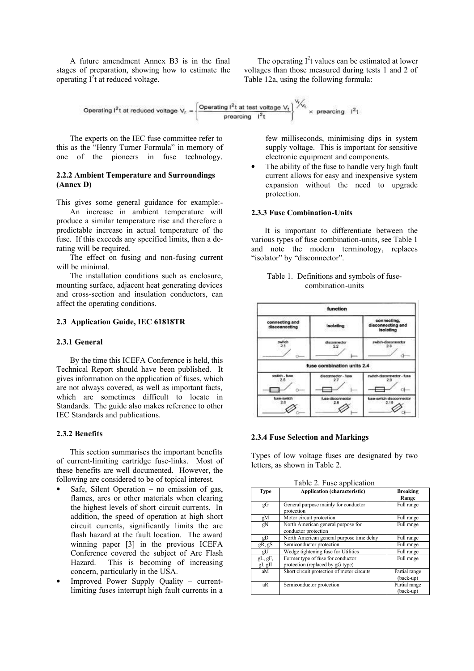A future amendment Annex B3 is in the final stages of preparation, showing how to estimate the operating  $I^2t$  at reduced voltage.

The operating  $I^2t$  values can be estimated at lower voltages than those measured during tests 1 and 2 of Table 12a, using the following formula:

Operating 
$$
l^2t
$$
 at reduced voltage  $V_r = \left\{\frac{Operating \ l^2t \text{ at test voltage } V_t}{preacing \ l^2t}\right\} \times \frac{V}{V} \times \text{ preceding } l^2t$ 

The experts on the IEC fuse committee refer to this as the "Henry Turner Formula" in memory of one of the pioneers in fuse technology.

# **2.2.2 Ambient Temperature and Surroundings (Annex D)**

This gives some general guidance for example:-

An increase in ambient temperature will produce a similar temperature rise and therefore a predictable increase in actual temperature of the fuse. If this exceeds any specified limits, then a derating will be required.

The effect on fusing and non-fusing current will be minimal.

The installation conditions such as enclosure, mounting surface, adjacent heat generating devices and cross-section and insulation conductors, can affect the operating conditions.

### **2.3 Application Guide, IEC 61818TR**

### **2.3.1 General**

By the time this ICEFA Conference is held, this Technical Report should have been published. It gives information on the application of fuses, which are not always covered, as well as important facts, which are sometimes difficult to locate in Standards. The guide also makes reference to other IEC Standards and publications.

#### **2.3.2 Benefits**

This section summarises the important benefits of current-limiting cartridge fuse-links. Most of these benefits are well documented. However, the following are considered to be of topical interest.

- Safe, Silent Operation  $-$  no emission of gas, flames, arcs or other materials when clearing the highest levels of short circuit currents. In addition, the speed of operation at high short circuit currents, significantly limits the arc flash hazard at the fault location. The award winning paper [3] in the previous ICEFA Conference covered the subject of Arc Flash Hazard. This is becoming of increasing concern, particularly in the USA.
- Improved Power Supply Quality currentlimiting fuses interrupt high fault currents in a

few milliseconds, minimising dips in system supply voltage. This is important for sensitive electronic equipment and components.

The ability of the fuse to handle very high fault current allows for easy and inexpensive system expansion without the need to upgrade protection.

#### **2.3.3 Fuse Combination-Units**

It is important to differentiate between the various types of fuse combination-units, see Table 1 and note the modern terminology, replaces "isolator" by "disconnector".

| Table 1. Definitions and symbols of fuse- |
|-------------------------------------------|
| combination-units                         |

|                                 | function                   |                                                      |
|---------------------------------|----------------------------|------------------------------------------------------|
| connecting and<br>disconnecting | isolating                  | connecting.<br>disconnecting and<br><b>Isolating</b> |
| switch<br>21<br>o.              | disconnector<br>22         | switch-disconnector<br>23<br>а                       |
|                                 | fuse combination units 2.4 |                                                      |
| switch - fuse<br>2.5            | discommediar - fuse<br>2.7 | switch-disconnector - fuse<br>2.9                    |
| fuse-switch<br>28               | fuse-disconnector<br>2.8   | fuse-switch-discoormector<br>2.10                    |

#### **2.3.4 Fuse Selection and Markings**

Types of low voltage fuses are designated by two letters, as shown in Table 2.

**Type Application (characteristic) Breaking Range** gG General purpose mainly for conductor protection Full range gM Motor circuit protection Full range gN North American general purpose for conductor protection Full range gD North American general purpose time delay Full range<br>R. gS Semiconductor protection Full range gR, gS Semiconductor protection gU Wedge tightening fuse for Utilities Full range gL, gF, gI, gII Former type of fuse for conductor protection (replaced by gG type) Full range aM Short circuit protection of motor circuits Partial range (back-up) aR Semiconductor protection Partial range (back-up)

Table 2. Fuse application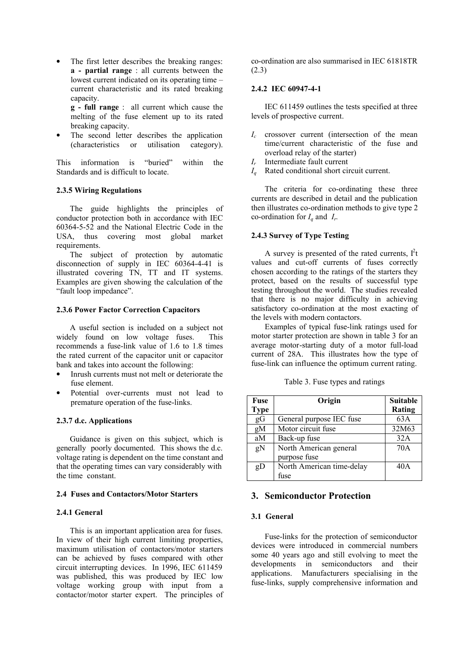- The first letter describes the breaking ranges: **a - partial range** : all currents between the lowest current indicated on its operating time – current characteristic and its rated breaking capacity.
	- **g full range** : all current which cause the melting of the fuse element up to its rated breaking capacity.
- The second letter describes the application (characteristics or utilisation category).

This information is "buried" within the Standards and is difficult to locate.

# **2.3.5 Wiring Regulations**

The guide highlights the principles of conductor protection both in accordance with IEC 60364-5-52 and the National Electric Code in the USA, thus covering most global market requirements.

The subject of protection by automatic disconnection of supply in IEC 60364-4-41 is illustrated covering TN, TT and IT systems. Examples are given showing the calculation of the "fault loop impedance".

# **2.3.6 Power Factor Correction Capacitors**

A useful section is included on a subject not widely found on low voltage fuses. This recommends a fuse-link value of 1.6 to 1.8 times the rated current of the capacitor unit or capacitor bank and takes into account the following:

- Inrush currents must not melt or deteriorate the fuse element.
- Potential over-currents must not lead to premature operation of the fuse-links.

# **2.3.7 d.c. Applications**

Guidance is given on this subject, which is generally poorly documented. This shows the d.c. voltage rating is dependent on the time constant and that the operating times can vary considerably with the time constant.

### **2.4 Fuses and Contactors/Motor Starters**

# **2.4.1 General**

This is an important application area for fuses. In view of their high current limiting properties, maximum utilisation of contactors/motor starters can be achieved by fuses compared with other circuit interrupting devices. In 1996, IEC 611459 was published, this was produced by IEC low voltage working group with input from a contactor/motor starter expert. The principles of

co-ordination are also summarised in IEC 61818TR (2.3)

### **2.4.2 IEC 60947-4-1**

IEC 611459 outlines the tests specified at three levels of prospective current.

- *I<sup>c</sup>* crossover current (intersection of the mean time/current characteristic of the fuse and overload relay of the starter)
- *I<sup>r</sup>* Intermediate fault current
- *I<sup>q</sup>* Rated conditional short circuit current.

The criteria for co-ordinating these three currents are described in detail and the publication then illustrates co-ordination methods to give type 2 co-ordination for  $I_q$  and  $I_r$ .

# **2.4.3 Survey of Type Testing**

A survey is presented of the rated currents,  $I<sup>2</sup>t$ values and cut-off currents of fuses correctly chosen according to the ratings of the starters they protect, based on the results of successful type testing throughout the world. The studies revealed that there is no major difficulty in achieving satisfactory co-ordination at the most exacting of the levels with modern contactors.

Examples of typical fuse-link ratings used for motor starter protection are shown in table 3 for an average motor-starting duty of a motor full-load current of 28A. This illustrates how the type of fuse-link can influence the optimum current rating.

| Table 3. Fuse types and ratings |  |  |  |  |
|---------------------------------|--|--|--|--|
|---------------------------------|--|--|--|--|

| Fuse        | Origin                    | <b>Suitable</b> |
|-------------|---------------------------|-----------------|
| <b>Type</b> |                           | Rating          |
| gG          | General purpose IEC fuse  | 63A             |
| gM          | Motor circuit fuse        | 32M63           |
| aM          | Back-up fuse              | 32A             |
| gN          | North American general    | 70A             |
|             | purpose fuse              |                 |
| gD          | North American time-delay | 40A             |
|             | fuse                      |                 |

# **3. Semiconductor Protection**

#### **3.1 General**

Fuse-links for the protection of semiconductor devices were introduced in commercial numbers some 40 years ago and still evolving to meet the developments in semiconductors and their applications. Manufacturers specialising in the fuse-links, supply comprehensive information and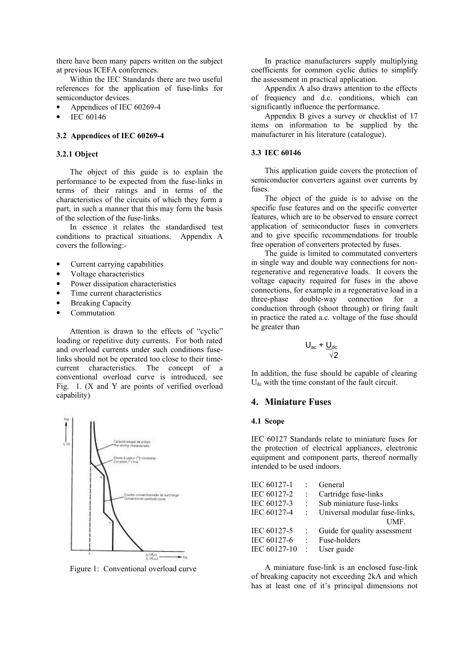there have been many papers written on the subject at previous ICEFA conferences.

Within the IEC Standards there are two useful references for the application of fuse-links for semiconductor devices.

- Appendices of IEC 60269-4
- IEC 60146

### **3.2 Appendices of IEC 60269-4**

# **3.2.1 Object**

The object of this guide is to explain the performance to be expected from the fuse-links in terms of their ratings and in terms of the characteristics of the circuits of which they form a part, in such a manner that this may form the basis of the selection of the fuse-links.

In essence it relates the standardised test conditions to practical situations. Appendix A covers the following:-

- Current carrying capabilities
- Voltage characteristics
- Power dissipation characteristics
- Time current characteristics
- Breaking Capacity
- Commutation

Attention is drawn to the effects of "cyclic" loading or repetitive duty currents. For both rated and overload currents under such conditions fuselinks should not be operated too close to their timecurrent characteristics. The concept of a conventional overload curve is introduced, see Fig. 1. (X and Y are points of verified overload capability)



Figure 1: Conventional overload curve

In practice manufacturers supply multiplying coefficients for common cyclic duties to simplify the assessment in practical application.

Appendix A also draws attention to the effects of frequency and d.c. conditions, which can significantly influence the performance.

Appendix B gives a survey or checklist of 17 items on information to be supplied by the manufacturer in his literature (catalogue).

# **3.3 IEC 60146**

This application guide covers the protection of semiconductor converters against over currents by fuses.

The object of the guide is to advise on the specific fuse features and on the specific converter features, which are to be observed to ensure correct application of semiconductor fuses in converters and to give specific recommendations for trouble free operation of converters protected by fuses.

The guide is limited to commutated converters in single way and double way connections for nonregenerative and regenerative loads. It covers the voltage capacity required for fuses in the above connections, for example in a regenerative load in a three-phase double-way connection for a conduction through (shoot through) or firing fault in practice the rated a.c. voltage of the fuse should be greater than

$$
U_{ac} + \frac{U_{dc}}{\sqrt{2}}
$$

In addition, the fuse should be capable of clearing  $U_{\text{dc}}$  with the time constant of the fault circuit.

### **4. Miniature Fuses**

### **4.1 Scope**

IEC 60127 Standards relate to miniature fuses for the protection of electrical appliances, electronic equipment and component parts, thereof normally intended to be used indoors.

| IEC 60127-1  |                      | General                       |
|--------------|----------------------|-------------------------------|
| IEC 60127-2  | $\ddot{\phantom{a}}$ | Cartridge fuse-links          |
| IEC 60127-3  | $\ddot{\phantom{0}}$ | Sub miniature fuse-links      |
| IEC 60127-4  |                      | Universal modular fuse-links, |
|              |                      | UMF                           |
| IEC 60127-5  |                      | Guide for quality assessment  |
| IEC 60127-6  | ÷.                   | Fuse-holders                  |
| IEC 60127-10 | $\mathbb{R}^2$       | User guide                    |
|              |                      |                               |

A miniature fuse-link is an enclosed fuse-link of breaking capacity not exceeding 2kA and which has at least one of it's principal dimensions not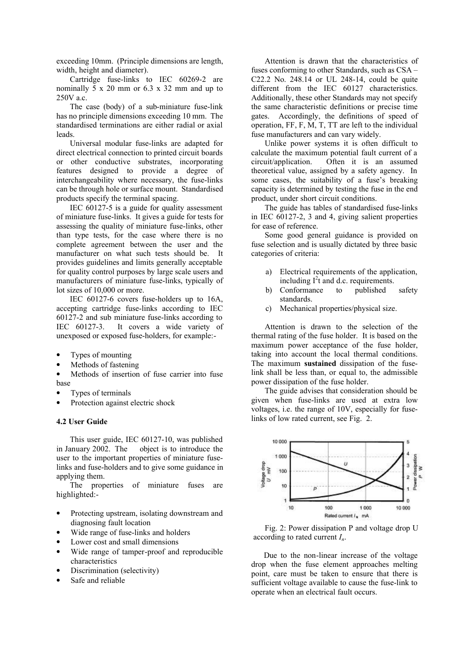exceeding 10mm. (Principle dimensions are length, width, height and diameter).

Cartridge fuse-links to IEC 60269-2 are nominally  $\overline{5}$  x 20 mm or 6.3 x 32 mm and up to 250V a.c.

The case (body) of a sub-miniature fuse-link has no principle dimensions exceeding 10 mm. The standardised terminations are either radial or axial leads.

Universal modular fuse-links are adapted for direct electrical connection to printed circuit boards or other conductive substrates, incorporating features designed to provide a degree of interchangeability where necessary, the fuse-links can be through hole or surface mount. Standardised products specify the terminal spacing.

IEC 60127-5 is a guide for quality assessment of miniature fuse-links. It gives a guide for tests for assessing the quality of miniature fuse-links, other than type tests, for the case where there is no complete agreement between the user and the manufacturer on what such tests should be. It provides guidelines and limits generally acceptable for quality control purposes by large scale users and manufacturers of miniature fuse-links, typically of lot sizes of 10,000 or more.

IEC 60127-6 covers fuse-holders up to 16A, accepting cartridge fuse-links according to IEC  $60127-2$  and sub miniature fuse-links according to IEC  $60127-3$ . It covers a wide variety of It covers a wide variety of unexposed or exposed fuse-holders, for example:-

- Types of mounting
- Methods of fastening

• Methods of insertion of fuse carrier into fuse base

- Types of terminals
- Protection against electric shock

### **4.2 User Guide**

This user guide, IEC 60127-10, was published in January 2002. The object is to introduce the user to the important properties of miniature fuselinks and fuse-holders and to give some guidance in applying them.

The properties of miniature fuses are highlighted:-

- Protecting upstream, isolating downstream and diagnosing fault location
- Wide range of fuse-links and holders
- Lower cost and small dimensions
- Wide range of tamper-proof and reproducible characteristics
- Discrimination (selectivity)
- Safe and reliable

Attention is drawn that the characteristics of fuses conforming to other Standards, such as CSA – C22.2 No. 248.14 or UL 248-14, could be quite different from the IEC 60127 characteristics. Additionally, these other Standards may not specify the same characteristic definitions or precise time gates. Accordingly, the definitions of speed of operation, FF, F, M, T, TT are left to the individual fuse manufacturers and can vary widely.

Unlike power systems it is often difficult to calculate the maximum potential fault current of a<br>circuit/application. Often it is an assumed Often it is an assumed theoretical value, assigned by a safety agency. In some cases, the suitability of a fuse's breaking capacity is determined by testing the fuse in the end product, under short circuit conditions.

The guide has tables of standardised fuse-links in IEC 60127-2, 3 and 4, giving salient properties for ease of reference.

Some good general guidance is provided on fuse selection and is usually dictated by three basic categories of criteria:

- a) Electrical requirements of the application, including  $I^2t$  and d.c. requirements.
- b) Conformance to published safety standards.
- c) Mechanical properties/physical size.

Attention is drawn to the selection of the thermal rating of the fuse holder. It is based on the maximum power acceptance of the fuse holder, taking into account the local thermal conditions. The maximum **sustained** dissipation of the fuselink shall be less than, or equal to, the admissible power dissipation of the fuse holder.

The guide advises that consideration should be given when fuse-links are used at extra low voltages, i.e. the range of 10V, especially for fuselinks of low rated current, see Fig. 2.



Fig. 2: Power dissipation P and voltage drop U according to rated current *In*.

 Due to the non-linear increase of the voltage drop when the fuse element approaches melting point, care must be taken to ensure that there is sufficient voltage available to cause the fuse-link to operate when an electrical fault occurs.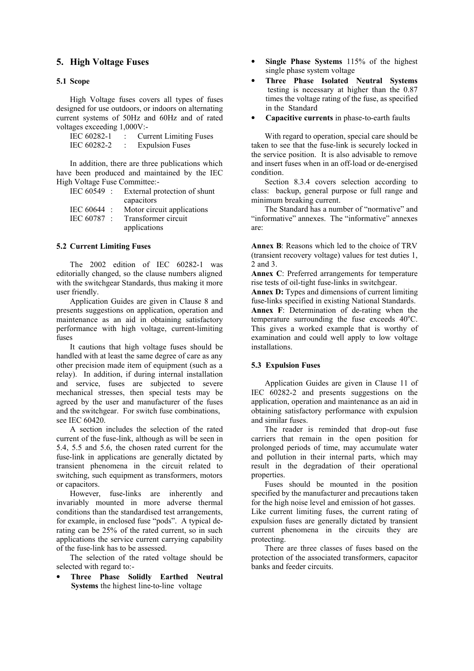# **5. High Voltage Fuses**

# **5.1 Scope**

High Voltage fuses covers all types of fuses designed for use outdoors, or indoors on alternating current systems of 50Hz and 60Hz and of rated voltages exceeding 1,000V:-

| IEC 60282-1 | <b>Current Limiting Fuses</b> |
|-------------|-------------------------------|
| IEC 60282-2 | <b>Expulsion Fuses</b>        |

In addition, there are three publications which have been produced and maintained by the IEC High Voltage Fuse Committee:-

| $IEC 60549$ : | External protection of shunt |
|---------------|------------------------------|
|               | capacitors                   |
| IEC 60644 :   | Motor circuit applications   |
| IEC 60787 :   | Transformer circuit          |
|               | applications                 |

# **5.2 Current Limiting Fuses**

The 2002 edition of IEC 60282-1 was editorially changed, so the clause numbers aligned with the switchgear Standards, thus making it more user friendly.

Application Guides are given in Clause 8 and presents suggestions on application, operation and maintenance as an aid in obtaining satisfactory performance with high voltage, current-limiting fuses

It cautions that high voltage fuses should be handled with at least the same degree of care as any other precision made item of equipment (such as a relay). In addition, if during internal installation and service, fuses are subjected to severe mechanical stresses, then special tests may be agreed by the user and manufacturer of the fuses and the switchgear. For switch fuse combinations, see IEC 60420.

A section includes the selection of the rated current of the fuse-link, although as will be seen in 5.4, 5.5 and 5.6, the chosen rated current for the fuse-link in applications are generally dictated by transient phenomena in the circuit related to switching, such equipment as transformers, motors or capacitors.

However, fuse-links are inherently and invariably mounted in more adverse thermal conditions than the standardised test arrangements, for example, in enclosed fuse "pods". A typical derating can be 25% of the rated current, so in such applications the service current carrying capability of the fuse-link has to be assessed.

The selection of the rated voltage should be selected with regard to:-

• **Three Phase Solidly Earthed Neutral Systems** the highest line-to-line voltage

- **Single Phase Systems** 115% of the highest single phase system voltage
- **Three Phase Isolated Neutral Systems** testing is necessary at higher than the 0.87 times the voltage rating of the fuse, as specified in the Standard
- **Capacitive currents** in phase-to-earth faults

With regard to operation, special care should be taken to see that the fuse-link is securely locked in the service position. It is also advisable to remove and insert fuses when in an off-load or de-energised condition.

Section 8.3.4 covers selection according to class: backup, general purpose or full range and minimum breaking current.

The Standard has a number of "normative" and "informative" annexes. The "informative" annexes are:

**Annex B**: Reasons which led to the choice of TRV (transient recovery voltage) values for test duties 1, 2 and 3.

**Annex C**: Preferred arrangements for temperature rise tests of oil-tight fuse-links in switchgear.

Annex D: Types and dimensions of current limiting fuse-links specified in existing National Standards. **Annex F**: Determination of de-rating when the temperature surrounding the fuse exceeds  $40^{\circ}$ C. This gives a worked example that is worthy of examination and could well apply to low voltage installations.

# **5.3 Expulsion Fuses**

Application Guides are given in Clause 11 of IEC 60282-2 and presents suggestions on the application, operation and maintenance as an aid in obtaining satisfactory performance with expulsion and similar fuses.

The reader is reminded that drop-out fuse carriers that remain in the open position for prolonged periods of time, may accumulate water and pollution in their internal parts, which may result in the degradation of their operational properties.

Fuses should be mounted in the position specified by the manufacturer and precautions taken for the high noise level and emission of hot gasses. Like current limiting fuses, the current rating of expulsion fuses are generally dictated by transient current phenomena in the circuits they are protecting.

There are three classes of fuses based on the protection of the associated transformers, capacitor banks and feeder circuits.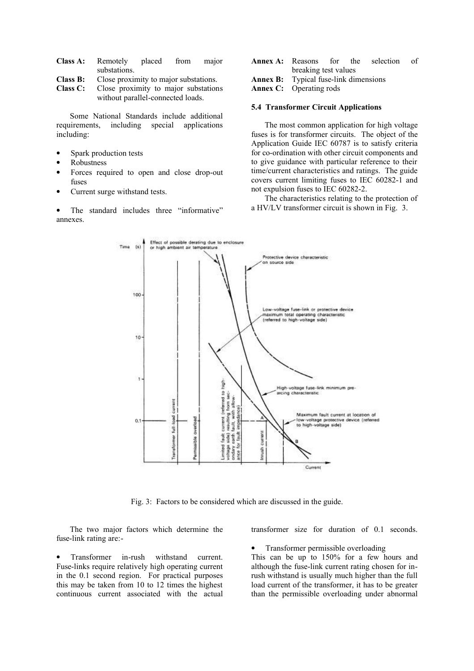**Class A:** Remotely placed from major substations.

**Class B:** Close proximity to major substations.<br> **Class C:** Close proximity to major substation

Close proximity to major substations without parallel-connected loads.

Some National Standards include additional requirements, including special applications including:

- Spark production tests
- Robustness
- Forces required to open and close drop-out fuses
- Current surge withstand tests.

• The standard includes three "informative" annexes.

- **Annex A:** Reasons for the selection of breaking test values
- **Annex B:** Typical fuse-link dimensions

### **Annex C:** Operating rods

#### **5.4 Transformer Circuit Applications**

The most common application for high voltage fuses is for transformer circuits. The object of the Application Guide IEC 60787 is to satisfy criteria for co-ordination with other circuit components and to give guidance with particular reference to their time/current characteristics and ratings. The guide covers current limiting fuses to IEC 60282-1 and not expulsion fuses to IEC 60282-2.

The characteristics relating to the protection of a HV/LV transformer circuit is shown in Fig. 3.



Fig. 3: Factors to be considered which are discussed in the guide.

The two major factors which determine the fuse-link rating are:-

• Transformer in-rush withstand current. Fuse-links require relatively high operating current in the 0.1 second region. For practical purposes this may be taken from 10 to 12 times the highest continuous current associated with the actual transformer size for duration of 0.1 seconds.

• Transformer permissible overloading

This can be up to 150% for a few hours and although the fuse-link current rating chosen for inrush withstand is usually much higher than the full load current of the transformer, it has to be greater than the permissible overloading under abnormal